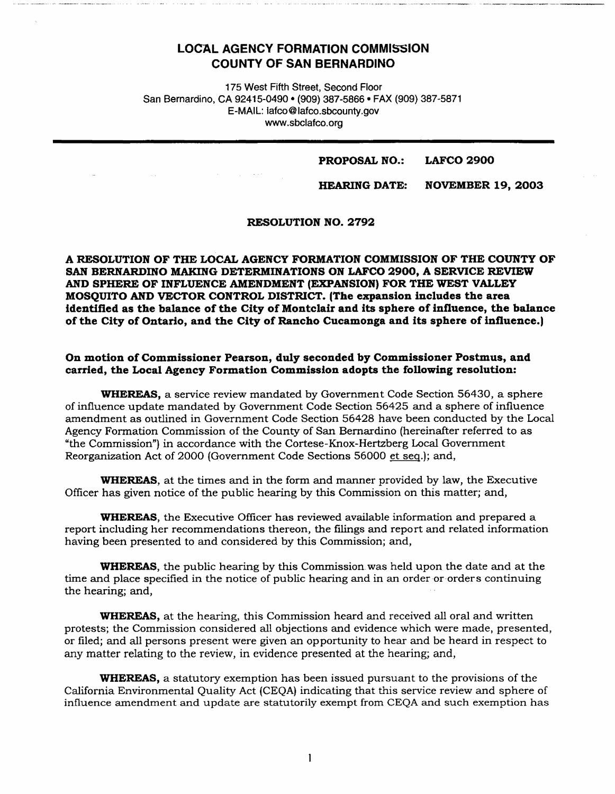## **LOCAL AGENCY FORMATION COMMISSION COUNTY OF SAN BERNARDINO**

175 West Fifth Street, Second Floor San Bernardino, CA 92415-0490 • (909) 387-5866 • FAX (909) 387-5871 E-MAIL: lafco@lafco.sbcounty.gov www.sbclafco.org

#### **PROPOSAL NO.: LAFCO 2900**

#### **HEARING DATE: NOVEMBER 19, 2003**

### **RESOLUTION NO. 2792**

**A RESOLUTION OF THE LOCAL AGENCY FORMATION COMMISSION OF THE COUNTY OF SAN BERNARDINO MAKING DETERMINATIONS ON LAFCO 2900, A SERVICE REVIEW AND SPHERE OF INFLUENCE AMENDMENT (EXPANSION) FOR THE WEST VALLEY MOSQUITO AND VECTOR CONTROL DISTRICT. (The expansion includes the area identified as the balance of the City of Montclair and its sphere of infiuence, the balance of the City of Ontario, and the City of Rancho Cucamonga and its sphere of infiuence.)** 

#### **On motion of Commissioner Pearson, duly seconded by Commissioner Postmus, and carried, the Local Agency Formation Commission adopts the following resolution:**

**WHEREAS,** a service review mandated by Government Code Section 56430, a sphere of influence update mandated by Government Code Section 56425 and a sphere of influence amendment as outlined in Government Code Section 56428 have been conducted by the Local Agency Formation Commission of the County of San Bernardino (hereinafter referred to as "the Commission") in accordance with the Cortese-Knox-Hertzberg Local Government Reorganization Act of 2000 (Government Code Sections 56000 et seq.); and,

**WHEREAS,** at the times and in the form and manner provided by law, the Executive Officer has given notice of the public hearing by this Commission on this matter; and,

**WHEREAS,** the Executive Officer has reviewed available information and prepared a report including her recommendations thereon, the filings and report and related information having been presented to and considered by this Commission; and,

**WHEREAS,** the public hearing by this Commission was held upon the date and at the time and place specified in the notice of public hearing and in an order or orders continuing the hearing; and,

**WHEREAS,** at the hearing, this Commission heard and received all oral and written protests; the Commission considered all objections and evidence which were made, presented, or filed; and all persons present were given an opportunity to hear and be heard in respect to any matter relating to the review, in evidence presented at the hearing; and,

**WHEREAS,** a statutory exemption has been issued pursuant to the provisions of the California Environmental Quality Act (CEQA) indicating that this service review and sphere of influence amendment and update are statutorily exempt from CEQA and such exemption has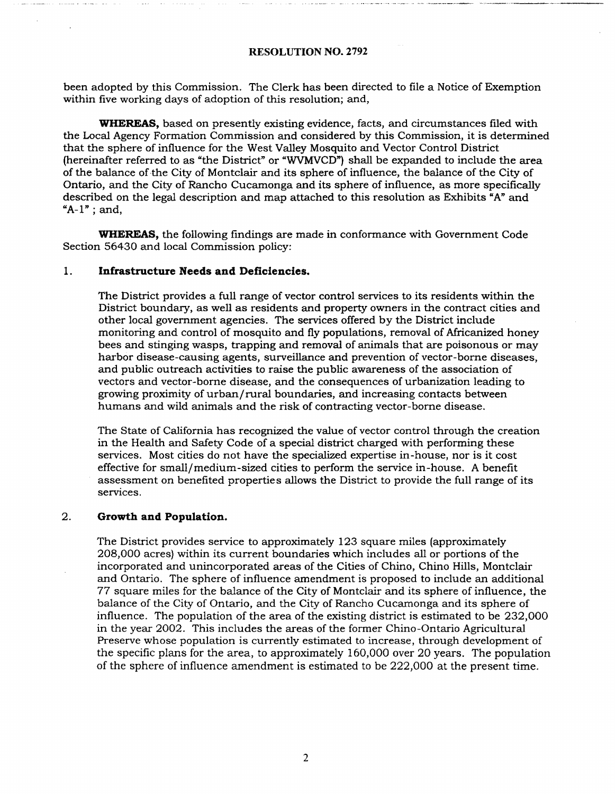#### **RESOLUTION NO.** 2792

been adopted by this Commission. The Clerk has been directed to file a Notice of Exemption within five working days of adoption of this resolution; and,

**WHEREAS,** based on presently existing evidence, facts, and circumstances filed with the Local Agency Formation Commission and considered by this Commission, it is determined that the sphere of influence for the West Valley Mosquito and Vector Control District (hereinafter referred to as "the District" or "WVMVCD"} shall be expanded to include the area of the balance of.the City of Montclair and its sphere of influence, the balance of the City of Ontario, and the City of Rancho Cucamonga and its sphere of influence, as more specifically described on the legal description and map attached to this resolution as Exhibits "A" and  $A-1"$ ; and,

**WHEREAS,** the following findings are made in conformance with Government Code Section 56430 and local Commission policy:

#### 1. **Infrastructure Needs and Deficiencies.**

The District provides a full range of vector control services to its residents within the District boundary, as well as residents and property owners in the contract cities and other local government agencies. The services offered by the District include monitoring and control of mosquito and fly populations, removal of Africanized honey bees and stinging wasps, trapping and removal of animals that are poisonous or may harbor disease-causing agents, surveillance and prevention of vector-borne diseases, and public outreach activities to raise the public awareness of the association of vectors and vector-borne disease, and the consequences of urbanization leading to growing proximity of urban/ rural boundaries, and increasing contacts between humans and wild animals and the risk of contracting vector-borne disease.

The State of California has recognized the value of vector control through the creation in the Health and Safety Code of a special district charged with performing these services. Most cities do not have the specialized expertise in-house, nor is it cost effective for small/medium-sized cities to perform the service in-house. A benefit assessment on benefited properties allows the District to provide the full range of its services.

#### 2. **Growth and Population.**

The District provides service to approximately 123 square miles (approximately 208,000 acres) within its current boundaries which includes all or portions of the incorporated and unincorporated areas of the Cities of Chino, Chino Hills, Montclair and Ontario. The sphere of influence amendment is proposed to include an additional 77 square miles for the balance of the City of Montclair and its sphere of influence, the balance of the City of Ontario, and the City of Rancho Cucamonga and its sphere of influence. The population of the area of the existing district is estimated to be 232,000 in the year 2002. This includes the areas of the former Chino-Ontario Agricultural Preserve whose population is currently estimated to increase, through development of the specific plans for the area, to approximately 160,000 over 20 years. The population of the sphere of influence amendment is estimated to be 222,000 at the present time.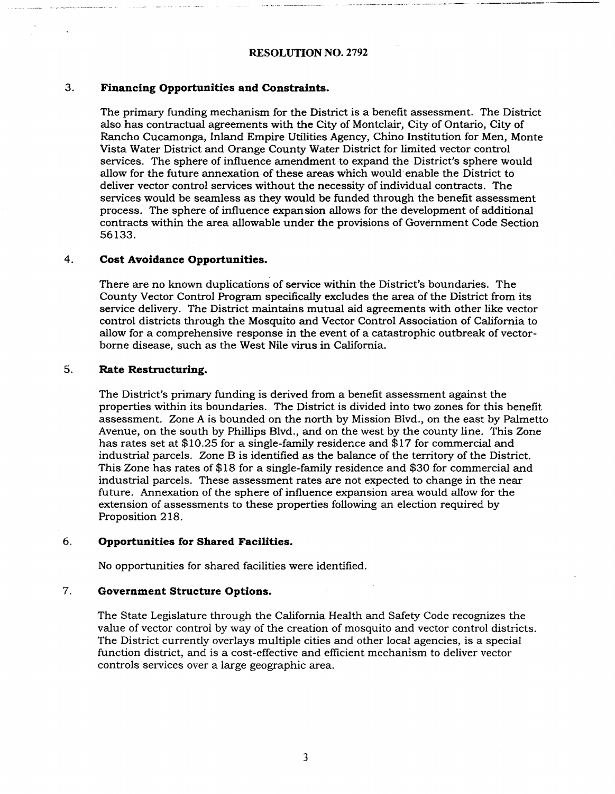### 3. **Financing Opportunities and Constraints.**

The primary funding mechanism for the District is a benefit assessment. The District also has contractual agreements with the City of Montclair, City of Ontario, City of Rancho Cucamonga, Inland Empire Utilities Agency, Chino Institution for **Men,** Monte Vista Water District and Orange County Water District for limited vector control services. The sphere of influence amendment to expand the District's sphere would allow for the future annexation of these areas which would·enable the District to deliver vector control services without the necessity of individual contracts. The services would be seamless as they would be funded through the benefit assessment process. The sphere of influence expansion allows for the development of additional contracts within the area allowable under the provisions of Government Code Section 56133.

#### 4. **Cost Avoidance Opportunities.**

There are no known duplications of service within the District's boundaries. The County Vector Control Program specifically excludes the area of the District from its service delivery. The District maintains mutual aid agreements with other like vector control districts through the Mosquito and Vector Control Association of California to allow for a comprehensive response in the event of a catastrophic outbreak of vectorborne disease, such as the West Nile virus in California.

#### 5. **Rate Restructuring.**

The District's primary funding is derived from a benefit assessment against the properties within its boundaries. The District is divided into two zones for this benefit assessment. Zone A is bounded on the north by Mission Blvd., on the east by Palmetto Avenue, on the south by Phillips Blvd., and on the west by the county line. This Zone has rates set at \$10.25 for a single-family residence and \$17 for commercial and industrial parcels. Zone B is identified as the balance of the territory of the District. This Zone has rates of \$18 for a single-family residence and \$30 for commercial and industrial parcels. These assessment rates are not expected to change in the near future. Annexation of the sphere of influence expansion area would allow for the extension of assessments to these properties following an election required by Proposition 218.

#### 6. **Opportunities for Shared Facilities.**

No opportunities for shared facilities were identified.

#### 7. **Government Structure Options.**

The State Legislature through the California Health and Safety Code recognizes the value of vector control by way of the creation of mosquito and vector control districts. The District currently overlays multiple cities and other local agencies, is a special function district, and is a cost-effective and efficient mechanism to deliver vector controls services over a large geographic area.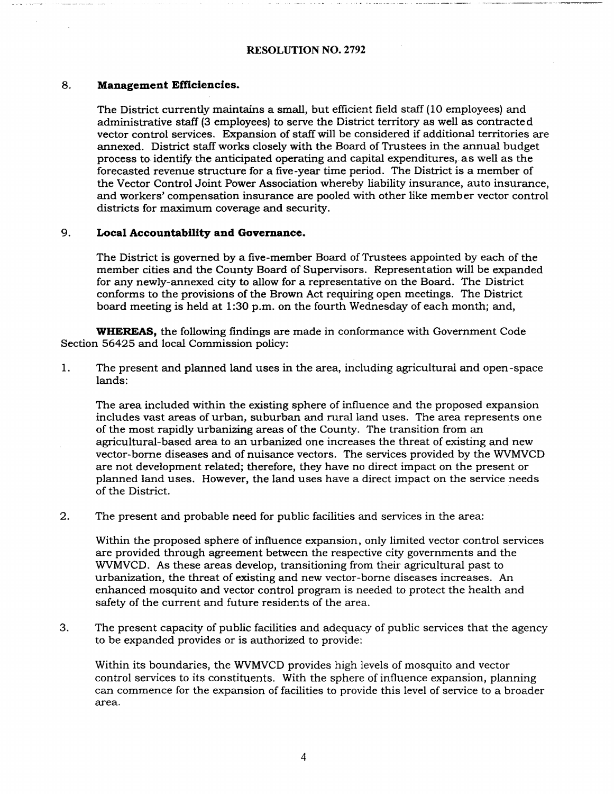### **RESOLUTION NO.** 2792

.,. - -- --···-·-··· ·-··. ----~-------- ···--------··-··---

#### 8. **Management Efficiencies.**

The District currently maintains a small, but efficient field staff (10 employees) and administrative staff (3 employees) to serve the District territory as well as contracted vector control services. Expansion of staff will be considered if additional territories are annexed. District staff works closely with the Board of Trustees in the annual budget process to identify the anticipated operating and capital expenditures, as well as the forecasted revenue structure for a five-year time period. The District is a member of the Vector Control Joint Power Association whereby liability insurance, auto insurance, and workers' compensation insurance are pooled with other like member vector control districts for maximum coverage and security.

## 9. **Local Accountability and Govemance.**

The District is governed by a five-member Board of Trustees appointed by each of the member cities and the County Board of Supervisors. Representation will be expanded for any newly-annexed city to allow for a representative on the Board. The District conforms to the provisions of the Brown Act requiring open meetings. The District board meeting is held at 1:30 p.m. on the fourth Wednesday of each month; and,

**WHEREAS,** the following findings are made in conformance with Government Code Section 56425 and local Commission policy:

1. The present and planned land uses in the area, including agricultural and open-space lands:

The area included within the existing sphere of influence and the proposed expansion includes vast areas of urban, suburban and rural land uses. The area represents one of the most rapidly urbanizing areas of the County. The transition from an agricultural-based area to an urbanized one increases the threat of existing and new vector-borne diseases and of nuisance vectors. The services provided by the WVMVCD are not development related; therefore, they have no direct impact on the present or planned land uses. However, the land uses have a direct impact on the service needs of the District.

2. The present and probable need for public facilities and services in the area:

Within the proposed sphere of influence expansion, only limited vector control services are provided through agreement between the respective city governments and the WVMVCD. As these areas develop, transitioning from their agricultural past to urbanization, the threat of existing and new vector-borne diseases increases. An enhanced mosquito and vector control program is needed to protect the health and safety of the current and future residents of the area.

3. The present capacity of public facilities and adequacy of public services that the agency to be expanded provides or is authorized to provide:

Within its boundaries, the WVMVCD provides high levels of mosquito and vector control services to its constituents. With the sphere of influence expansion, planning can commence for the expansion of facilities to provide this level of service to a broader area.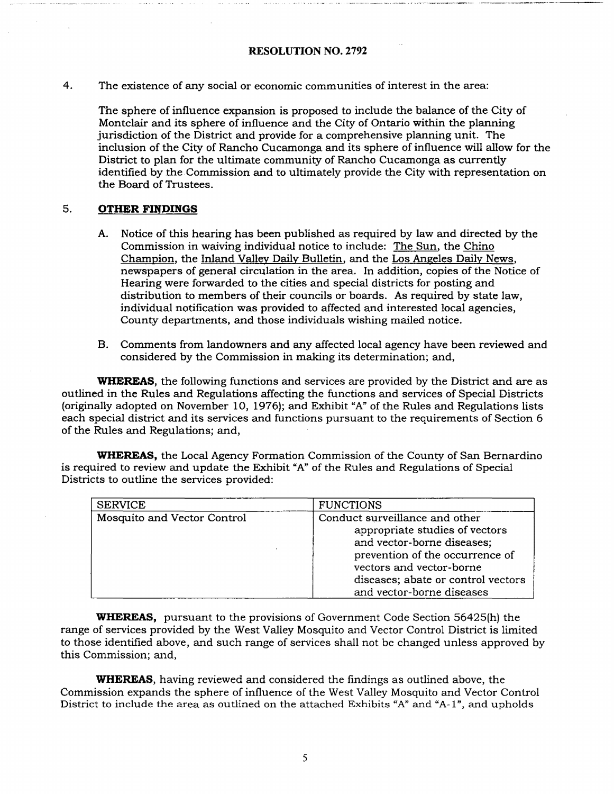### **RESOLUTION NO. 2792**

ere a compare to the comparence and workers of change of the comparent of the companies of the companies of the companies of the companies of the companies of the companies of the companies of the companies of the companie

4. The existence of any social or economic communities of interest in the area:

The sphere of influence expansion is proposed to include the balance of the City of Montclair and its sphere of influence and the City of Ontario within the planning jurisdiction of the District and provide for a comprehensive planning unit. The inclusion of the City of Rancho Cucamonga and its sphere of influence will allow for the District to plan for the ultimate community of Rancho Cucamonga as currently identified by the Commission and to ultimately provide the City with representation on the Board of Trustees.

### 5. **OTHER FINDINGS**

- A. Notice of this hearing has been published as required by law and directed by the Commission in waiving individual notice to include: The Sun. the Chino Champion, the Inland Valley Daily Bulletin, and the Los Angeles Daily News, newspapers of general circulation in the area. In addition, copies of the Notice of Hearing were forwarded to the cities and special districts for posting and distribution to members of their councils or boards. As required by state law, individual notification was provided to affected and interested local agencies, County departments. and those individuals wishing mailed notice.
- B. Comments from landowners and any affected local agency have been reviewed and considered by the Commission in malting its determination; and,

**WHEREAS,** the following functions and services are provided by the District and are as outlined in the Rules and Regulations affecting the functions and services of Special Districts (originally adopted on November 10, 1976); and Exhibit "A" of the Rules and Regulations lists each special district and its services and functions pursuant to the requirements of Section 6 of the Rules and Regulations; and,

**WHEREAS,** the Local Agency Formation Commission of the County of San Bernardino is required to review and update the Exhibit "A" of the Rules and Regulations of Special Districts to outline the services provided:

| <b>SERVICE</b>              | <b>FUNCTIONS</b>                                                                                                                                                                                                                 |
|-----------------------------|----------------------------------------------------------------------------------------------------------------------------------------------------------------------------------------------------------------------------------|
| Mosquito and Vector Control | Conduct surveillance and other<br>appropriate studies of vectors<br>and vector-borne diseases;<br>prevention of the occurrence of<br>vectors and vector-borne<br>diseases; abate or control vectors<br>and vector-borne diseases |

**WHEREAS,** pursuant to the provisions of Government Code Section 56425(h) the range of services provided by the West Valley Mosquito and Vector Control District is limited to those identified above. and such range of services shall not be changed unless approved by this Commission; and,

**WHEREAS,** having reviewed and considered the findings as outlined above, the Commission expands the sphere of influence of the West Valley Mosquito and Vector Control District to include the area as outlined on the attached Exhibits "A" and "A-1", and upholds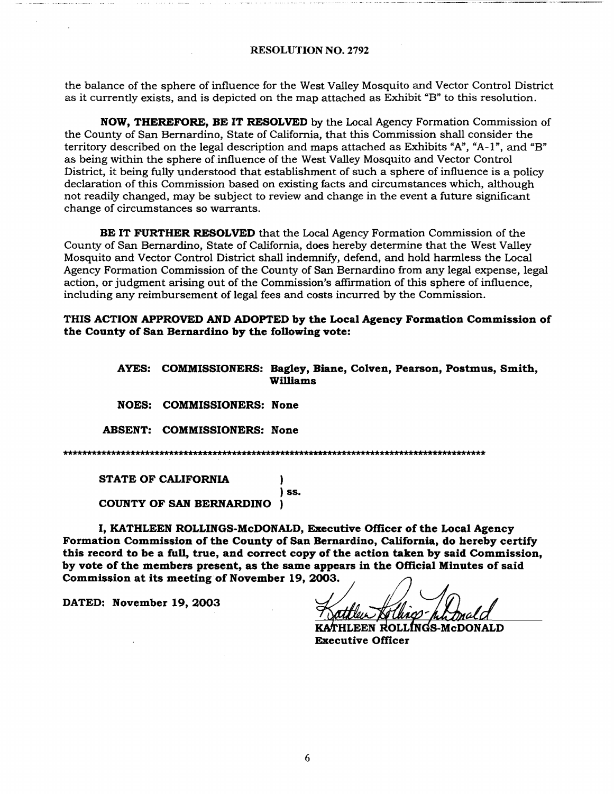the balance of the sphere of influence for the West Valley Mosquito and Vector Control District as it currently exists, and is depicted on the map attached as Exhibit "B" to this resolution.

**NOW, THEREFORE, BE IT RESOLVED** by the Local Agency Formation Commission of the County of San Bernardino, State of California, that this Commission shall consider the territory described on the legal description and maps attached as Exhibits "A", "A-1", and "B" as being within the sphere of influence of the West Valley Mosquito and Vector Control District, it being fully understood that establishment of such a sphere of influence is a policy declaration of this Commission based on existing facts and circumstances which, although not readily changed, may be subject to review and change in the event a future significant change of circumstances so warrants.

**BE IT FURTHER RESOLVED** that the Local Agency Formation Commission of the County of San Bernardino, State of California, does hereby determine that the West Valley Mosquito and Vector Control District shall indemnify, defend, and hold harmless the Local Agency Formation Commission of the County of San Bernardino from any legal expense, legal action, or judgment arising out of the Commission's affirmation of this sphere of influence, including any reimbursement of legal fees and costs incurred by the Commission.

**THIS ACTION APPROVED AND ADOPTED by the Local Agency Formation Commission of the County of San Bernardino by the following vote:** 

> **AYES: COMMISSIONERS: Bagley, Biane, Colven, Pearson, Postmus, Smith, Williams**

**NOES: COMMISSIONERS: None** 

**ABSENT: COMMISSIONERS: None** 

) ss.

STATE OF CALIFORNIA

COUNTY OF SAN BERNARDINO )

I, KATHLEEN ROLLINGS-McDONALD, Executive Officer of the Local Agency Formation Commission of the County of San Bernardino, California, do hereby certify Formation Commission of the County of San Bernardino, California, do hereby certify<br>this record to be a full, true, and correct copy of the action taken by said Commission,<br>by vote of the members present, as the same appea by vote of the members present, as the same appears in the Official Minutes of said Commission at its meeting of November 19, 2003.<br>DATED: November 19, 2003 n by said Commission,<br>cial Minutes of said<br>2-*phh.bnald* 

for 18

HLEEN ROLLINGS-McDONALD Executive Officer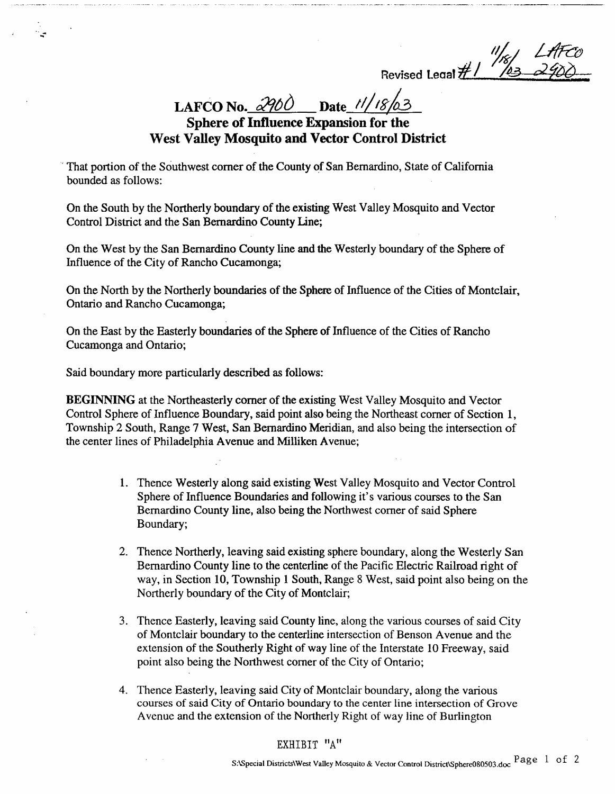*%l U/fco*  Revised Leaal  $\#1$  */ 03 2900* 

**LAFCO No.**  $\frac{\partial \mathcal{P}(\hat{O})}{\partial \mathbf{C}}$  **Date**  $\frac{11/18/63}{16/18}$ 

# **West Valley Mosquito and Vector Control District**

, That portion of the Southwest comer of the County of San Bernardino, State of California bounded as follows:

On the South by the Northerly boundary of the existing West Valley Mosquito and Vector Control District and the San Bernardino County Line;

On the West by the San Bernardino County line and the Westerly boundary of the Sphere of Influence of the City of Rancho Cucamonga;

On the North by the Northerly boundaries of the Sphere of Influence of the Cities of Montclair, Ontario and Rancho Cucamonga;

On the East by the Easterly boundaries of the Sphere of Influence of the Cities of Rancho Cucamonga and Ontario;

Said boundary more particularly described as follows:

**BEGINNING** at the Northeasterly comer of the existing West Valley Mosquito and Vector Control Sphere of Influence Boundary, said point also being the Northeast comer of Section 1, Township 2 South, Range 7 West, San Bernardino Meridian, and also being the intersection of the center lines of Philadelphia Avenue and Milliken Avenue;

- 1. Thence Westerly along said existing West Valley Mosquito and Vector Control Sphere of Influence Boundaries and following it's various courses to the San Bernardino County line, also being the Northwest comer of said Sphere Boundary;
- 2. Thence Northerly, leaving said existing sphere boundary, along the Westerly San Bernardino County line to the centerline of the Pacific Electric Railroad right of way, in Section 10, Township 1 South, Range 8 West, said point also being on the Northerly boundary of the City of Montclair;
- 3. Thence Easterly, leaving said County line, along the various courses of said City of Montclair boundary to the centerline intersection of Benson A venue and the extension of the Southerly Right of way line of the Interstate 10 Freeway, said point also being the Northwest comer of the City of Ontario;
- 4. Thence Easterly, leaving said City of Montclair boundary, along the various courses of said City of Ontario boundary to the center line intersection of Grove Avenue and the extension of the Northerly Right of way line of Burlington

EXHIBIT "A"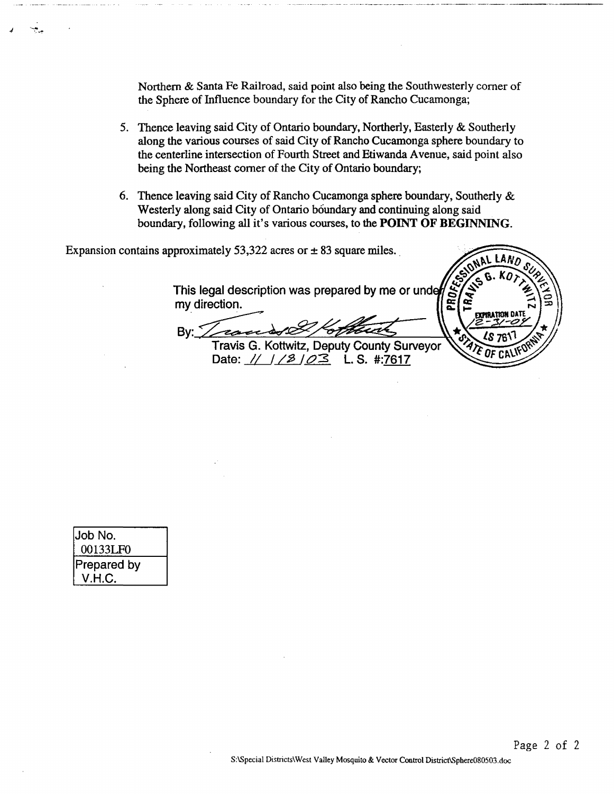Northern & Santa Fe Railroad, said point also being the Southwesterly comer of the Sphere of Influence boundary for the City of Rancho Cucamonga;

- 5. Thence leaving said City of Ontario boundary, Northerly, Easterly & Southerly along the various courses of said City of Rancho Cucamonga sphere boundary to the centerline intersection of Fourth Street and Etiwanda A venue, said point also being the Northeast comer of the City of Ontario boundary;
- 6. Thence leaving said City of Rancho Cucamonga sphere boundary, Southerly  $&$ Westerly along said City of Ontario boundary and continuing along said boundary, following all it's various courses, to the **POINT OF BEGINNING.**

しANの

ATION DA'

PROFI <u>। पुरु</u>

Expansion contains approximately 53,322 acres or  $\pm$  83 square miles.

This legal description was prepared by me or under my direction.

randst  $Bv:$ Travis G. Kottwitz, Deputy County Surveyor

Date:  $\frac{1}{2}$  /  $\frac{3}{2}$  /  $\frac{23}{2}$  L. S. #:7617

| Job No.            |  |
|--------------------|--|
| 00133LF0           |  |
| <b>Prepared by</b> |  |
| V.H.C.             |  |